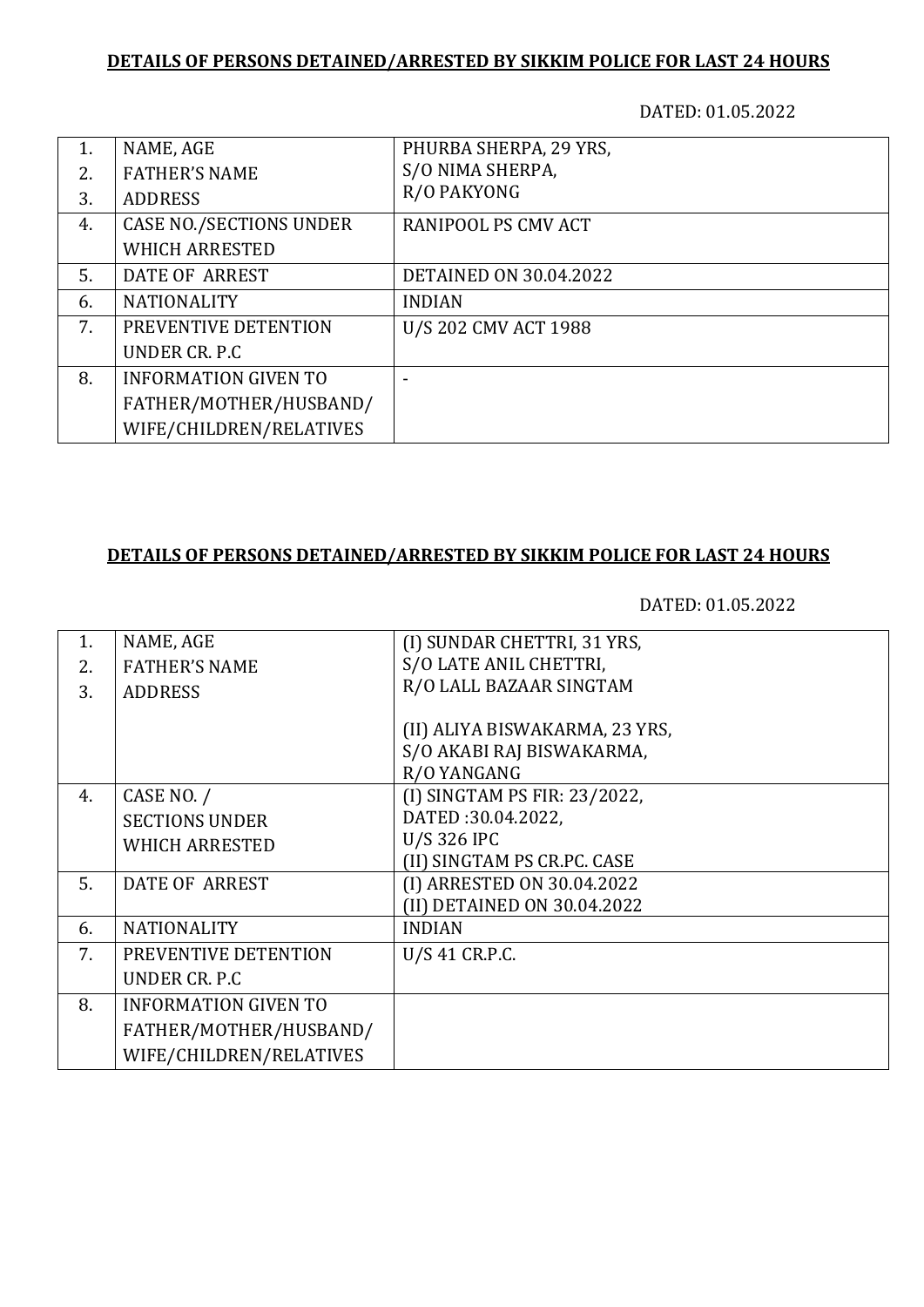DATED: 01.05.2022

| 1. | NAME, AGE                      | PHURBA SHERPA, 29 YRS,        |
|----|--------------------------------|-------------------------------|
| 2. | <b>FATHER'S NAME</b>           | S/O NIMA SHERPA,              |
| 3. | <b>ADDRESS</b>                 | R/O PAKYONG                   |
| 4. | <b>CASE NO./SECTIONS UNDER</b> | RANIPOOL PS CMV ACT           |
|    | <b>WHICH ARRESTED</b>          |                               |
| 5. | DATE OF ARREST                 | <b>DETAINED ON 30.04.2022</b> |
| 6. | <b>NATIONALITY</b>             | <b>INDIAN</b>                 |
| 7. | PREVENTIVE DETENTION           | U/S 202 CMV ACT 1988          |
|    | UNDER CR. P.C.                 |                               |
| 8. | <b>INFORMATION GIVEN TO</b>    |                               |
|    | FATHER/MOTHER/HUSBAND/         |                               |
|    | WIFE/CHILDREN/RELATIVES        |                               |

#### **DETAILS OF PERSONS DETAINED/ARRESTED BY SIKKIM POLICE FOR LAST 24 HOURS**

| 1. | NAME, AGE                   | (I) SUNDAR CHETTRI, 31 YRS,    |
|----|-----------------------------|--------------------------------|
| 2. | <b>FATHER'S NAME</b>        | S/O LATE ANIL CHETTRI,         |
| 3. | <b>ADDRESS</b>              | R/O LALL BAZAAR SINGTAM        |
|    |                             |                                |
|    |                             | (II) ALIYA BISWAKARMA, 23 YRS, |
|    |                             | S/O AKABI RAJ BISWAKARMA,      |
|    |                             | R/O YANGANG                    |
| 4. | CASE NO. /                  | (I) SINGTAM PS FIR: 23/2022,   |
|    | <b>SECTIONS UNDER</b>       | DATED:30.04.2022,              |
|    | <b>WHICH ARRESTED</b>       | U/S 326 IPC                    |
|    |                             | (II) SINGTAM PS CR.PC. CASE    |
| 5. | <b>DATE OF ARREST</b>       | (I) ARRESTED ON 30.04.2022     |
|    |                             | (II) DETAINED ON 30.04.2022    |
| 6. | <b>NATIONALITY</b>          | <b>INDIAN</b>                  |
| 7. | PREVENTIVE DETENTION        | U/S 41 CR.P.C.                 |
|    | UNDER CR. P.C               |                                |
| 8. | <b>INFORMATION GIVEN TO</b> |                                |
|    | FATHER/MOTHER/HUSBAND/      |                                |
|    | WIFE/CHILDREN/RELATIVES     |                                |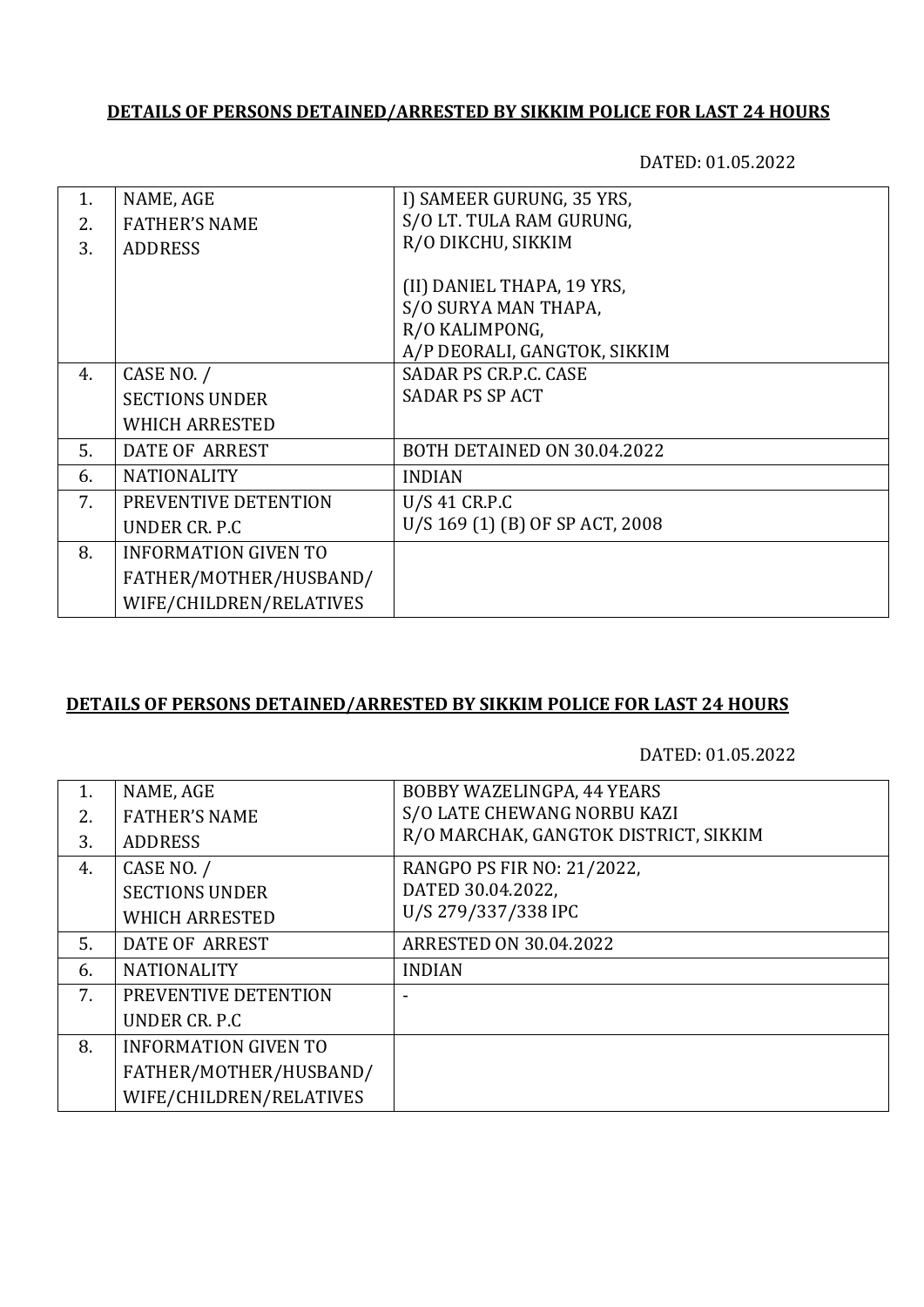DATED: 01.05.2022

| 1. | NAME, AGE                   | I) SAMEER GURUNG, 35 YRS,       |
|----|-----------------------------|---------------------------------|
| 2. | <b>FATHER'S NAME</b>        | S/O LT. TULA RAM GURUNG,        |
| 3. | <b>ADDRESS</b>              | R/O DIKCHU, SIKKIM              |
|    |                             |                                 |
|    |                             | (II) DANIEL THAPA, 19 YRS,      |
|    |                             | S/O SURYA MAN THAPA,            |
|    |                             | R/O KALIMPONG,                  |
|    |                             | A/P DEORALI, GANGTOK, SIKKIM    |
| 4. | CASE NO. /                  | SADAR PS CR.P.C. CASE           |
|    | <b>SECTIONS UNDER</b>       | <b>SADAR PS SP ACT</b>          |
|    | <b>WHICH ARRESTED</b>       |                                 |
| 5. | DATE OF ARREST              | BOTH DETAINED ON 30.04.2022     |
| 6. | <b>NATIONALITY</b>          | <b>INDIAN</b>                   |
| 7. | PREVENTIVE DETENTION        | $U/S$ 41 CR.P.C                 |
|    | UNDER CR. P.C.              | U/S 169 (1) (B) OF SP ACT, 2008 |
| 8. | <b>INFORMATION GIVEN TO</b> |                                 |
|    | FATHER/MOTHER/HUSBAND/      |                                 |
|    | WIFE/CHILDREN/RELATIVES     |                                 |
|    |                             |                                 |

### **DETAILS OF PERSONS DETAINED/ARRESTED BY SIKKIM POLICE FOR LAST 24 HOURS**

| NAME, AGE                   | BOBBY WAZELINGPA, 44 YEARS            |
|-----------------------------|---------------------------------------|
| <b>FATHER'S NAME</b>        | S/O LATE CHEWANG NORBU KAZI           |
| <b>ADDRESS</b>              | R/O MARCHAK, GANGTOK DISTRICT, SIKKIM |
| CASE NO. /                  | RANGPO PS FIR NO: 21/2022,            |
| <b>SECTIONS UNDER</b>       | DATED 30.04.2022,                     |
| <b>WHICH ARRESTED</b>       | U/S 279/337/338 IPC                   |
| DATE OF ARREST              | <b>ARRESTED ON 30.04.2022</b>         |
| <b>NATIONALITY</b>          | <b>INDIAN</b>                         |
| PREVENTIVE DETENTION        |                                       |
| UNDER CR. P.C.              |                                       |
| <b>INFORMATION GIVEN TO</b> |                                       |
| FATHER/MOTHER/HUSBAND/      |                                       |
| WIFE/CHILDREN/RELATIVES     |                                       |
|                             |                                       |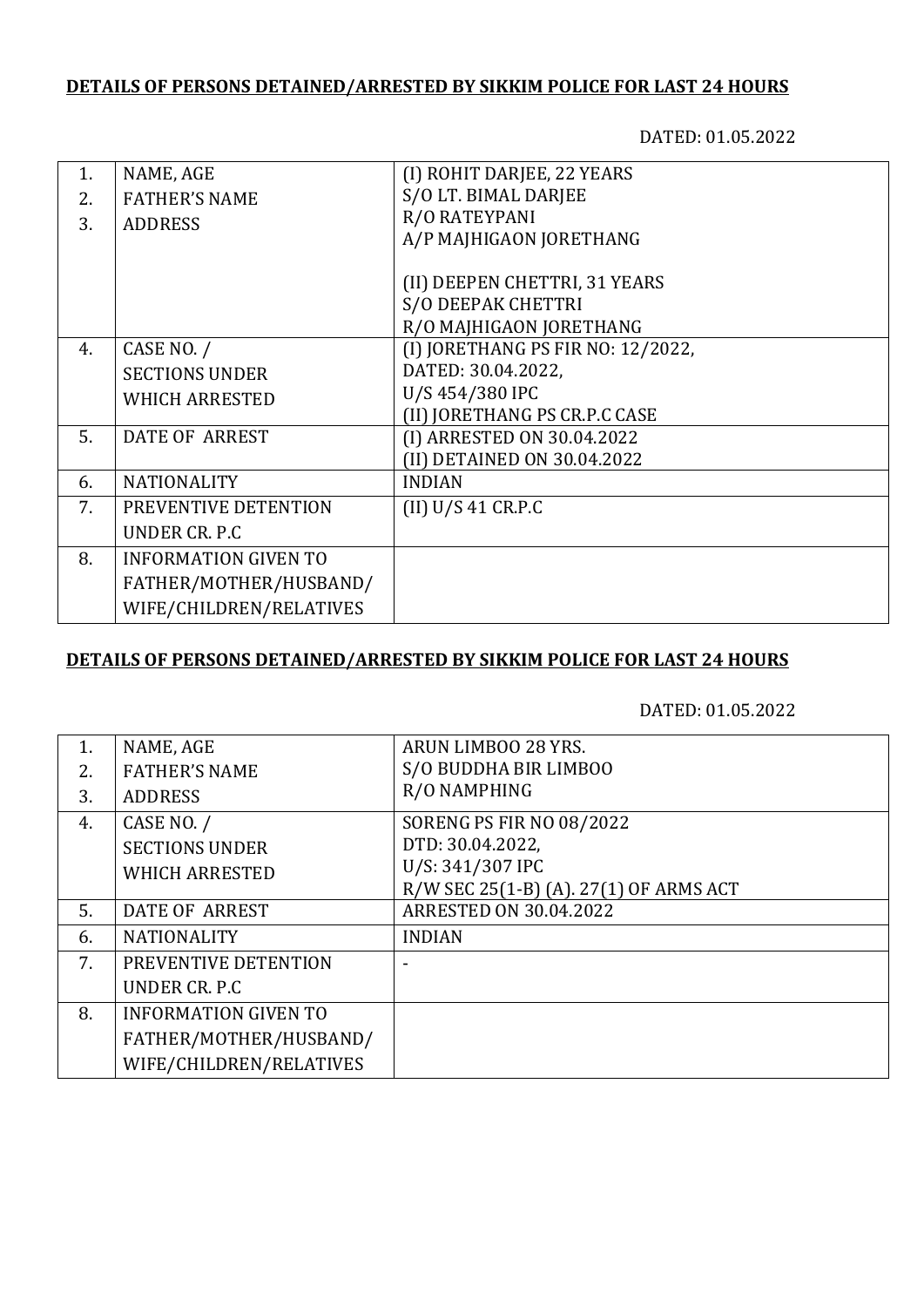DATED: 01.05.2022

| NAME, AGE                   | (I) ROHIT DARJEE, 22 YEARS        |
|-----------------------------|-----------------------------------|
| <b>FATHER'S NAME</b>        | S/O LT. BIMAL DARJEE              |
|                             | R/O RATEYPANI                     |
|                             | A/P MAJHIGAON JORETHANG           |
|                             |                                   |
|                             | (II) DEEPEN CHETTRI, 31 YEARS     |
|                             | S/O DEEPAK CHETTRI                |
|                             | R/O MAJHIGAON JORETHANG           |
| CASE NO. /                  | (I) JORETHANG PS FIR NO: 12/2022, |
| <b>SECTIONS UNDER</b>       | DATED: 30.04.2022,                |
| <b>WHICH ARRESTED</b>       | U/S 454/380 IPC                   |
|                             | (II) JORETHANG PS CR.P.C CASE     |
| DATE OF ARREST              | (I) ARRESTED ON 30.04.2022        |
|                             | (II) DETAINED ON 30.04.2022       |
| <b>NATIONALITY</b>          | <b>INDIAN</b>                     |
| PREVENTIVE DETENTION        | (II) U/S 41 C R.P.C               |
| UNDER CR. P.C               |                                   |
| <b>INFORMATION GIVEN TO</b> |                                   |
| FATHER/MOTHER/HUSBAND/      |                                   |
| WIFE/CHILDREN/RELATIVES     |                                   |
|                             | <b>ADDRESS</b>                    |

### **DETAILS OF PERSONS DETAINED/ARRESTED BY SIKKIM POLICE FOR LAST 24 HOURS**

| 1. | NAME, AGE                   | ARUN LIMBOO 28 YRS.                    |
|----|-----------------------------|----------------------------------------|
| 2. | <b>FATHER'S NAME</b>        | S/O BUDDHA BIR LIMBOO                  |
| 3. | <b>ADDRESS</b>              | R/O NAMPHING                           |
| 4. | CASE NO. /                  | <b>SORENG PS FIR NO 08/2022</b>        |
|    | <b>SECTIONS UNDER</b>       | DTD: 30.04.2022,                       |
|    | <b>WHICH ARRESTED</b>       | U/S: 341/307 IPC                       |
|    |                             | R/W SEC 25(1-B) (A). 27(1) OF ARMS ACT |
| 5. | <b>DATE OF ARREST</b>       | <b>ARRESTED ON 30.04.2022</b>          |
| 6. | <b>NATIONALITY</b>          | <b>INDIAN</b>                          |
| 7. | PREVENTIVE DETENTION        |                                        |
|    | UNDER CR. P.C.              |                                        |
| 8. | <b>INFORMATION GIVEN TO</b> |                                        |
|    | FATHER/MOTHER/HUSBAND/      |                                        |
|    | WIFE/CHILDREN/RELATIVES     |                                        |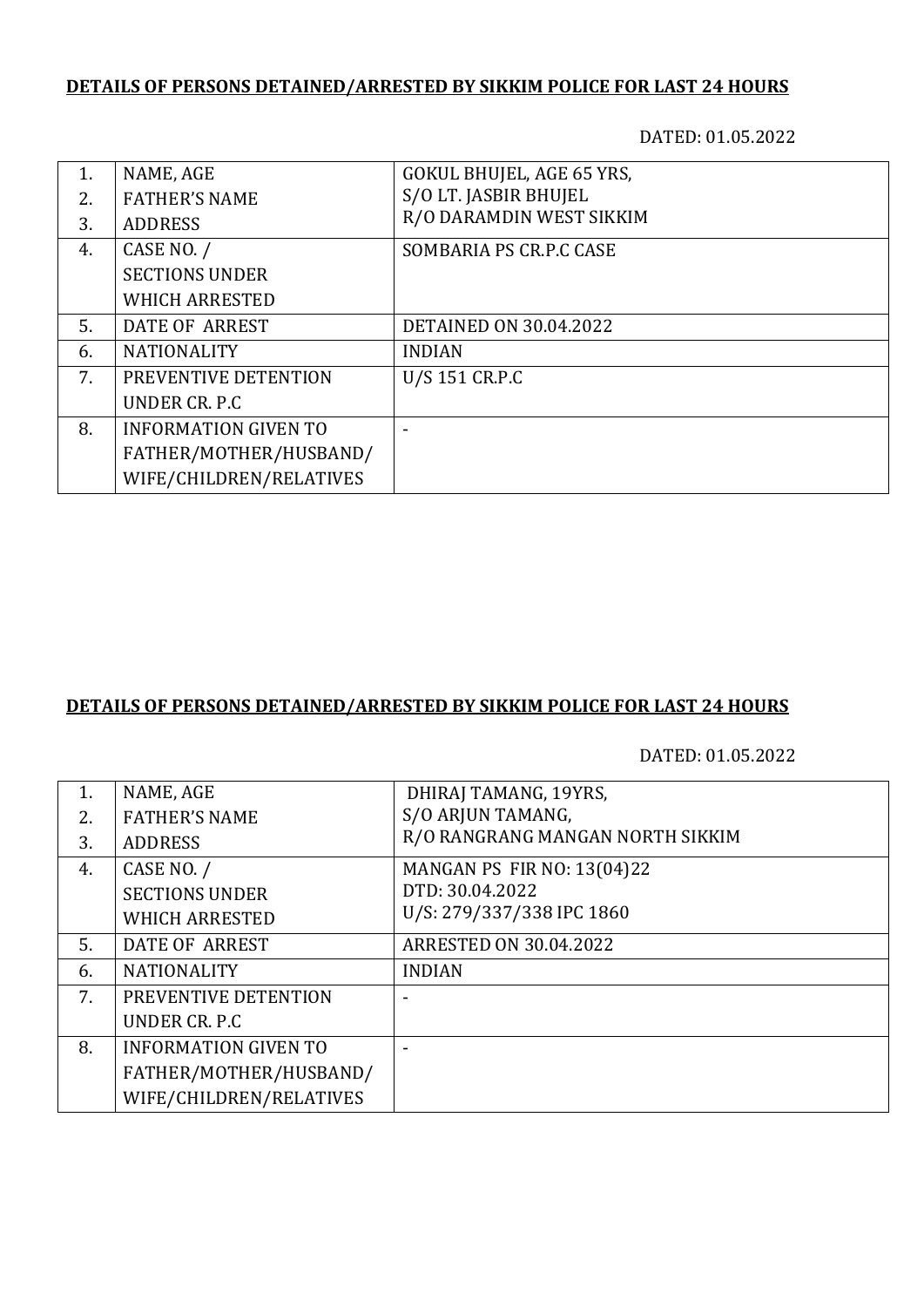DATED: 01.05.2022

| 1. | NAME, AGE                   | GOKUL BHUJEL, AGE 65 YRS,     |
|----|-----------------------------|-------------------------------|
| 2. | <b>FATHER'S NAME</b>        | S/O LT. JASBIR BHUJEL         |
| 3. | <b>ADDRESS</b>              | R/O DARAMDIN WEST SIKKIM      |
| 4. | CASE NO. /                  | SOMBARIA PS CR.P.C CASE       |
|    | <b>SECTIONS UNDER</b>       |                               |
|    | <b>WHICH ARRESTED</b>       |                               |
| 5. | DATE OF ARREST              | <b>DETAINED ON 30.04.2022</b> |
| 6. | <b>NATIONALITY</b>          | <b>INDIAN</b>                 |
| 7. | PREVENTIVE DETENTION        | U/S 151 CR.P.C                |
|    | UNDER CR. P.C               |                               |
| 8. | <b>INFORMATION GIVEN TO</b> |                               |
|    | FATHER/MOTHER/HUSBAND/      |                               |
|    | WIFE/CHILDREN/RELATIVES     |                               |

## **DETAILS OF PERSONS DETAINED/ARRESTED BY SIKKIM POLICE FOR LAST 24 HOURS**

| 1. | NAME, AGE                   | DHIRAJ TAMANG, 19YRS,             |
|----|-----------------------------|-----------------------------------|
| 2. | <b>FATHER'S NAME</b>        | S/O ARJUN TAMANG,                 |
| 3. | <b>ADDRESS</b>              | R/O RANGRANG MANGAN NORTH SIKKIM  |
| 4. | CASE NO. /                  | <b>MANGAN PS FIR NO: 13(04)22</b> |
|    | <b>SECTIONS UNDER</b>       | DTD: 30.04.2022                   |
|    | <b>WHICH ARRESTED</b>       | U/S: 279/337/338 IPC 1860         |
| 5. | <b>DATE OF ARREST</b>       | <b>ARRESTED ON 30.04.2022</b>     |
| 6. | <b>NATIONALITY</b>          | <b>INDIAN</b>                     |
| 7. | PREVENTIVE DETENTION        |                                   |
|    | UNDER CR. P.C               |                                   |
| 8. | <b>INFORMATION GIVEN TO</b> |                                   |
|    | FATHER/MOTHER/HUSBAND/      |                                   |
|    | WIFE/CHILDREN/RELATIVES     |                                   |